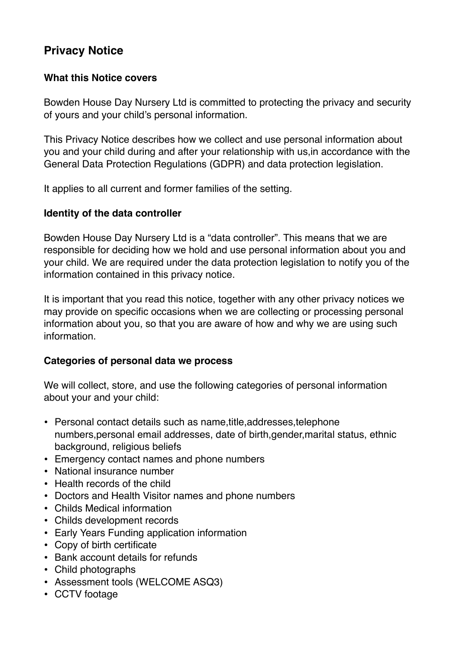# **Privacy Notice**

#### **What this Notice covers**

Bowden House Day Nursery Ltd is committed to protecting the privacy and security of yours and your child's personal information.

This Privacy Notice describes how we collect and use personal information about you and your child during and after your relationship with us,in accordance with the General Data Protection Regulations (GDPR) and data protection legislation.

It applies to all current and former families of the setting.

## **Identity of the data controller**

Bowden House Day Nursery Ltd is a "data controller". This means that we are responsible for deciding how we hold and use personal information about you and your child. We are required under the data protection legislation to notify you of the information contained in this privacy notice.

It is important that you read this notice, together with any other privacy notices we may provide on specific occasions when we are collecting or processing personal information about you, so that you are aware of how and why we are using such information.

# **Categories of personal data we process**

We will collect, store, and use the following categories of personal information about your and your child:

- Personal contact details such as name,title,addresses,telephone numbers,personal email addresses, date of birth,gender,marital status, ethnic background, religious beliefs
- Emergency contact names and phone numbers
- National insurance number
- Health records of the child
- Doctors and Health Visitor names and phone numbers
- Childs Medical information
- Childs development records
- Early Years Funding application information
- Copy of birth certificate
- Bank account details for refunds
- Child photographs
- Assessment tools (WELCOME ASQ3)
- CCTV footage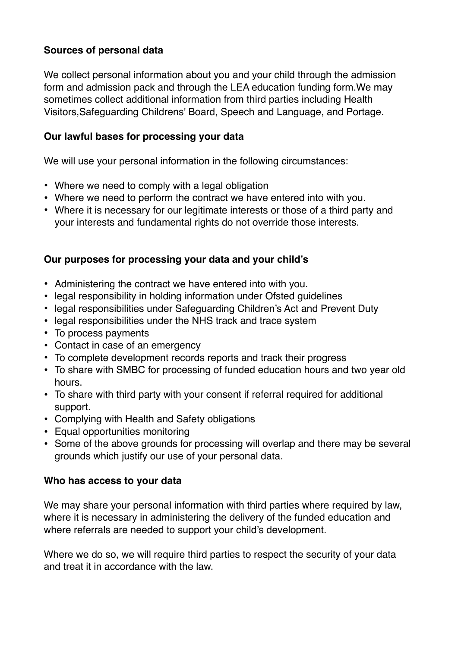# **Sources of personal data**

We collect personal information about you and your child through the admission form and admission pack and through the LEA education funding form.We may sometimes collect additional information from third parties including Health Visitors,Safeguarding Childrens' Board, Speech and Language, and Portage.

#### **Our lawful bases for processing your data**

We will use your personal information in the following circumstances:

- Where we need to comply with a legal obligation
- Where we need to perform the contract we have entered into with you.
- Where it is necessary for our legitimate interests or those of a third party and your interests and fundamental rights do not override those interests.

# **Our purposes for processing your data and your child's**

- Administering the contract we have entered into with you.
- legal responsibility in holding information under Ofsted guidelines
- legal responsibilities under Safeguarding Children's Act and Prevent Duty
- legal responsibilities under the NHS track and trace system
- To process payments
- Contact in case of an emergency
- To complete development records reports and track their progress
- To share with SMBC for processing of funded education hours and two year old hours.
- To share with third party with your consent if referral required for additional support.
- Complying with Health and Safety obligations
- Equal opportunities monitoring
- Some of the above grounds for processing will overlap and there may be several grounds which justify our use of your personal data.

#### **Who has access to your data**

We may share your personal information with third parties where required by law, where it is necessary in administering the delivery of the funded education and where referrals are needed to support your child's development.

Where we do so, we will require third parties to respect the security of your data and treat it in accordance with the law.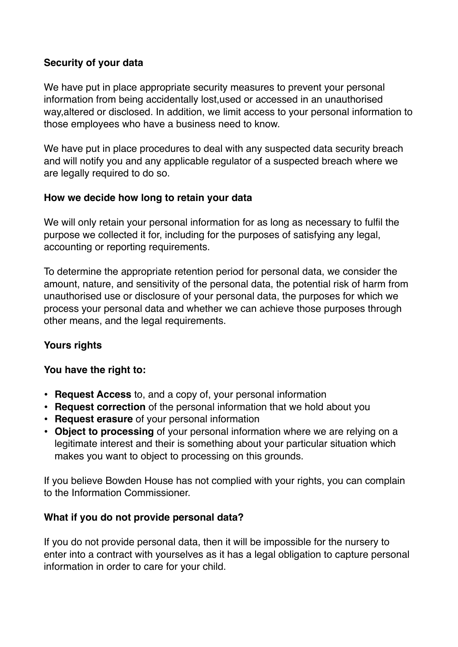## **Security of your data**

We have put in place appropriate security measures to prevent your personal information from being accidentally lost,used or accessed in an unauthorised way,altered or disclosed. In addition, we limit access to your personal information to those employees who have a business need to know.

We have put in place procedures to deal with any suspected data security breach and will notify you and any applicable regulator of a suspected breach where we are legally required to do so.

## **How we decide how long to retain your data**

We will only retain your personal information for as long as necessary to fulfil the purpose we collected it for, including for the purposes of satisfying any legal, accounting or reporting requirements.

To determine the appropriate retention period for personal data, we consider the amount, nature, and sensitivity of the personal data, the potential risk of harm from unauthorised use or disclosure of your personal data, the purposes for which we process your personal data and whether we can achieve those purposes through other means, and the legal requirements.

# **Yours rights**

#### **You have the right to:**

- **• Request Access** to, and a copy of, your personal information
- **• Request correction** of the personal information that we hold about you
- **• Request erasure** of your personal information
- **• Object to processing** of your personal information where we are relying on a legitimate interest and their is something about your particular situation which makes you want to object to processing on this grounds.

If you believe Bowden House has not complied with your rights, you can complain to the Information Commissioner.

#### **What if you do not provide personal data?**

If you do not provide personal data, then it will be impossible for the nursery to enter into a contract with yourselves as it has a legal obligation to capture personal information in order to care for your child.